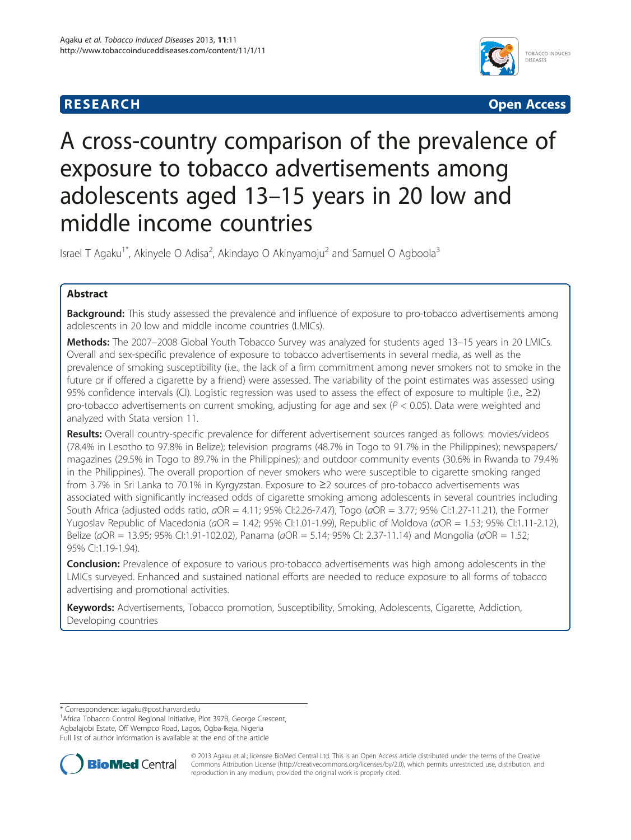# **RESEARCH CHE CHE Open Access**



# A cross-country comparison of the prevalence of exposure to tobacco advertisements among adolescents aged 13–15 years in 20 low and middle income countries

Israel T Agaku<sup>1\*</sup>, Akinyele O Adisa<sup>2</sup>, Akindayo O Akinyamoju<sup>2</sup> and Samuel O Agboola<sup>3</sup>

# Abstract

**Background:** This study assessed the prevalence and influence of exposure to pro-tobacco advertisements among adolescents in 20 low and middle income countries (LMICs).

Methods: The 2007-2008 Global Youth Tobacco Survey was analyzed for students aged 13-15 years in 20 LMICs. Overall and sex-specific prevalence of exposure to tobacco advertisements in several media, as well as the prevalence of smoking susceptibility (i.e., the lack of a firm commitment among never smokers not to smoke in the future or if offered a cigarette by a friend) were assessed. The variability of the point estimates was assessed using 95% confidence intervals (CI). Logistic regression was used to assess the effect of exposure to multiple (i.e., ≥2) pro-tobacco advertisements on current smoking, adjusting for age and sex ( $P < 0.05$ ). Data were weighted and analyzed with Stata version 11.

Results: Overall country-specific prevalence for different advertisement sources ranged as follows: movies/videos (78.4% in Lesotho to 97.8% in Belize); television programs (48.7% in Togo to 91.7% in the Philippines); newspapers/ magazines (29.5% in Togo to 89.7% in the Philippines); and outdoor community events (30.6% in Rwanda to 79.4% in the Philippines). The overall proportion of never smokers who were susceptible to cigarette smoking ranged from 3.7% in Sri Lanka to 70.1% in Kyrgyzstan. Exposure to ≥2 sources of pro-tobacco advertisements was associated with significantly increased odds of cigarette smoking among adolescents in several countries including South Africa (adjusted odds ratio,  $aOR = 4.11$ ; 95% Cl:2.26-7.47), Togo ( $aOR = 3.77$ ; 95% Cl:1.27-11.21), the Former Yugoslav Republic of Macedonia (aOR = 1.42; 95% CI:1.01-1.99), Republic of Moldova (aOR = 1.53; 95% CI:1.11-2.12), Belize (aOR = 13.95; 95% CI:1.91-102.02), Panama (aOR = 5.14; 95% CI: 2.37-11.14) and Mongolia (aOR = 1.52; 95% CI:1.19-1.94).

**Conclusion:** Prevalence of exposure to various pro-tobacco advertisements was high among adolescents in the LMICs surveyed. Enhanced and sustained national efforts are needed to reduce exposure to all forms of tobacco advertising and promotional activities.

Keywords: Advertisements, Tobacco promotion, Susceptibility, Smoking, Adolescents, Cigarette, Addiction, Developing countries

<sup>1</sup> Africa Tobacco Control Regional Initiative, Plot 397B, George Crescent, Agbalajobi Estate, Off Wempco Road, Lagos, Ogba-Ikeja, Nigeria Full list of author information is available at the end of the article



© 2013 Agaku et al.; licensee BioMed Central Ltd. This is an Open Access article distributed under the terms of the Creative Commons Attribution License [\(http://creativecommons.org/licenses/by/2.0\)](http://creativecommons.org/licenses/by/2.0), which permits unrestricted use, distribution, and reproduction in any medium, provided the original work is properly cited.

<sup>\*</sup> Correspondence: [iagaku@post.harvard.edu](mailto:iagaku@post.harvard.edu) <sup>1</sup>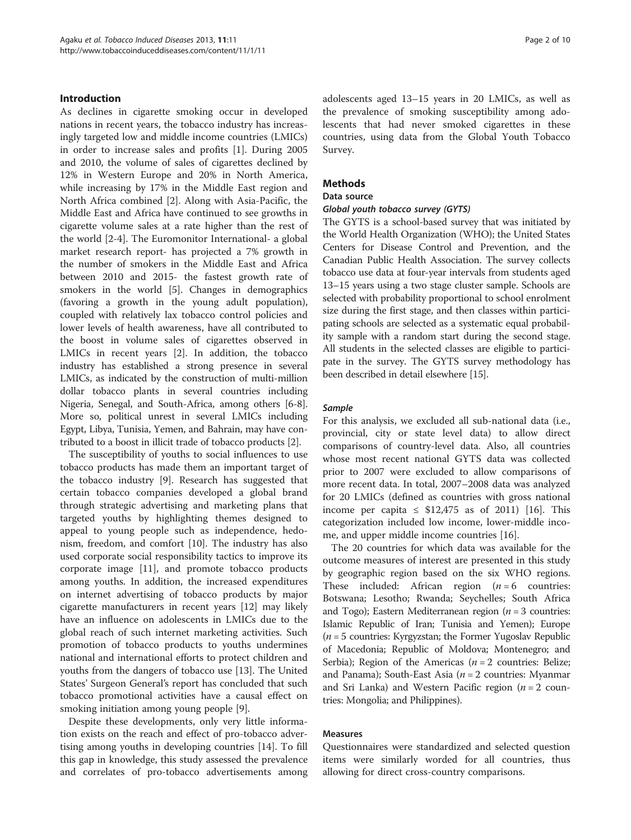### Introduction

As declines in cigarette smoking occur in developed nations in recent years, the tobacco industry has increasingly targeted low and middle income countries (LMICs) in order to increase sales and profits [[1\]](#page-8-0). During 2005 and 2010, the volume of sales of cigarettes declined by 12% in Western Europe and 20% in North America, while increasing by 17% in the Middle East region and North Africa combined [\[2](#page-8-0)]. Along with Asia-Pacific, the Middle East and Africa have continued to see growths in cigarette volume sales at a rate higher than the rest of the world [\[2](#page-8-0)-[4\]](#page-8-0). The Euromonitor International- a global market research report- has projected a 7% growth in the number of smokers in the Middle East and Africa between 2010 and 2015- the fastest growth rate of smokers in the world [\[5](#page-8-0)]. Changes in demographics (favoring a growth in the young adult population), coupled with relatively lax tobacco control policies and lower levels of health awareness, have all contributed to the boost in volume sales of cigarettes observed in LMICs in recent years [[2\]](#page-8-0). In addition, the tobacco industry has established a strong presence in several LMICs, as indicated by the construction of multi-million dollar tobacco plants in several countries including Nigeria, Senegal, and South-Africa, among others [\[6](#page-8-0)-[8](#page-8-0)]. More so, political unrest in several LMICs including Egypt, Libya, Tunisia, Yemen, and Bahrain, may have contributed to a boost in illicit trade of tobacco products [\[2](#page-8-0)].

The susceptibility of youths to social influences to use tobacco products has made them an important target of the tobacco industry [[9\]](#page-8-0). Research has suggested that certain tobacco companies developed a global brand through strategic advertising and marketing plans that targeted youths by highlighting themes designed to appeal to young people such as independence, hedonism, freedom, and comfort [[10\]](#page-8-0). The industry has also used corporate social responsibility tactics to improve its corporate image [[11\]](#page-8-0), and promote tobacco products among youths. In addition, the increased expenditures on internet advertising of tobacco products by major cigarette manufacturers in recent years [\[12](#page-8-0)] may likely have an influence on adolescents in LMICs due to the global reach of such internet marketing activities. Such promotion of tobacco products to youths undermines national and international efforts to protect children and youths from the dangers of tobacco use [\[13](#page-8-0)]. The United States' Surgeon General's report has concluded that such tobacco promotional activities have a causal effect on smoking initiation among young people [[9\]](#page-8-0).

Despite these developments, only very little information exists on the reach and effect of pro-tobacco advertising among youths in developing countries [[14](#page-9-0)]. To fill this gap in knowledge, this study assessed the prevalence and correlates of pro-tobacco advertisements among

adolescents aged 13–15 years in 20 LMICs, as well as the prevalence of smoking susceptibility among adolescents that had never smoked cigarettes in these countries, using data from the Global Youth Tobacco Survey.

# Methods

# Data source

#### Global youth tobacco survey (GYTS)

The GYTS is a school-based survey that was initiated by the World Health Organization (WHO); the United States Centers for Disease Control and Prevention, and the Canadian Public Health Association. The survey collects tobacco use data at four-year intervals from students aged 13–15 years using a two stage cluster sample. Schools are selected with probability proportional to school enrolment size during the first stage, and then classes within participating schools are selected as a systematic equal probability sample with a random start during the second stage. All students in the selected classes are eligible to participate in the survey. The GYTS survey methodology has been described in detail elsewhere [\[15](#page-9-0)].

#### Sample

For this analysis, we excluded all sub-national data (i.e., provincial, city or state level data) to allow direct comparisons of country-level data. Also, all countries whose most recent national GYTS data was collected prior to 2007 were excluded to allow comparisons of more recent data. In total, 2007–2008 data was analyzed for 20 LMICs (defined as countries with gross national income per capita  $\leq$  \$12,475 as of 2011) [\[16](#page-9-0)]. This categorization included low income, lower-middle income, and upper middle income countries [\[16](#page-9-0)].

The 20 countries for which data was available for the outcome measures of interest are presented in this study by geographic region based on the six WHO regions. These included: African region  $(n = 6$  countries: Botswana; Lesotho; Rwanda; Seychelles; South Africa and Togo); Eastern Mediterranean region ( $n = 3$  countries: Islamic Republic of Iran; Tunisia and Yemen); Europe  $(n = 5$  countries: Kyrgyzstan; the Former Yugoslav Republic of Macedonia; Republic of Moldova; Montenegro; and Serbia); Region of the Americas ( $n = 2$  countries: Belize; and Panama); South-East Asia ( $n = 2$  countries: Myanmar and Sri Lanka) and Western Pacific region  $(n = 2 \text{ count})$ tries: Mongolia; and Philippines).

#### Measures

Questionnaires were standardized and selected question items were similarly worded for all countries, thus allowing for direct cross-country comparisons.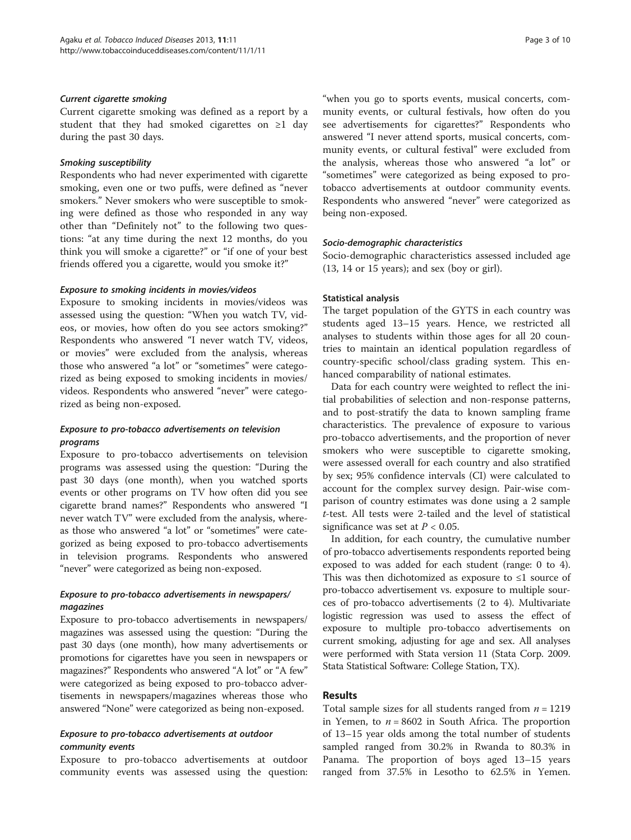#### Current cigarette smoking

Current cigarette smoking was defined as a report by a student that they had smoked cigarettes on ≥1 day during the past 30 days.

#### Smoking susceptibility

Respondents who had never experimented with cigarette smoking, even one or two puffs, were defined as "never smokers." Never smokers who were susceptible to smoking were defined as those who responded in any way other than "Definitely not" to the following two questions: "at any time during the next 12 months, do you think you will smoke a cigarette?" or "if one of your best friends offered you a cigarette, would you smoke it?"

#### Exposure to smoking incidents in movies/videos

Exposure to smoking incidents in movies/videos was assessed using the question: "When you watch TV, videos, or movies, how often do you see actors smoking?" Respondents who answered "I never watch TV, videos, or movies" were excluded from the analysis, whereas those who answered "a lot" or "sometimes" were categorized as being exposed to smoking incidents in movies/ videos. Respondents who answered "never" were categorized as being non-exposed.

# Exposure to pro-tobacco advertisements on television programs

Exposure to pro-tobacco advertisements on television programs was assessed using the question: "During the past 30 days (one month), when you watched sports events or other programs on TV how often did you see cigarette brand names?" Respondents who answered "I never watch TV" were excluded from the analysis, whereas those who answered "a lot" or "sometimes" were categorized as being exposed to pro-tobacco advertisements in television programs. Respondents who answered "never" were categorized as being non-exposed.

# Exposure to pro-tobacco advertisements in newspapers/ magazines

Exposure to pro-tobacco advertisements in newspapers/ magazines was assessed using the question: "During the past 30 days (one month), how many advertisements or promotions for cigarettes have you seen in newspapers or magazines?" Respondents who answered "A lot" or "A few" were categorized as being exposed to pro-tobacco advertisements in newspapers/magazines whereas those who answered "None" were categorized as being non-exposed.

# Exposure to pro-tobacco advertisements at outdoor community events

Exposure to pro-tobacco advertisements at outdoor community events was assessed using the question:

"when you go to sports events, musical concerts, community events, or cultural festivals, how often do you see advertisements for cigarettes?" Respondents who answered "I never attend sports, musical concerts, community events, or cultural festival" were excluded from the analysis, whereas those who answered "a lot" or "sometimes" were categorized as being exposed to protobacco advertisements at outdoor community events. Respondents who answered "never" were categorized as being non-exposed.

#### Socio-demographic characteristics

Socio-demographic characteristics assessed included age (13, 14 or 15 years); and sex (boy or girl).

#### Statistical analysis

The target population of the GYTS in each country was students aged 13–15 years. Hence, we restricted all analyses to students within those ages for all 20 countries to maintain an identical population regardless of country-specific school/class grading system. This enhanced comparability of national estimates.

Data for each country were weighted to reflect the initial probabilities of selection and non-response patterns, and to post-stratify the data to known sampling frame characteristics. The prevalence of exposure to various pro-tobacco advertisements, and the proportion of never smokers who were susceptible to cigarette smoking, were assessed overall for each country and also stratified by sex; 95% confidence intervals (CI) were calculated to account for the complex survey design. Pair-wise comparison of country estimates was done using a 2 sample t-test. All tests were 2-tailed and the level of statistical significance was set at  $P < 0.05$ .

In addition, for each country, the cumulative number of pro-tobacco advertisements respondents reported being exposed to was added for each student (range: 0 to 4). This was then dichotomized as exposure to ≤1 source of pro-tobacco advertisement vs. exposure to multiple sources of pro-tobacco advertisements (2 to 4). Multivariate logistic regression was used to assess the effect of exposure to multiple pro-tobacco advertisements on current smoking, adjusting for age and sex. All analyses were performed with Stata version 11 (Stata Corp. 2009. Stata Statistical Software: College Station, TX).

# Results

Total sample sizes for all students ranged from  $n = 1219$ in Yemen, to  $n = 8602$  in South Africa. The proportion of 13–15 year olds among the total number of students sampled ranged from 30.2% in Rwanda to 80.3% in Panama. The proportion of boys aged 13–15 years ranged from 37.5% in Lesotho to 62.5% in Yemen.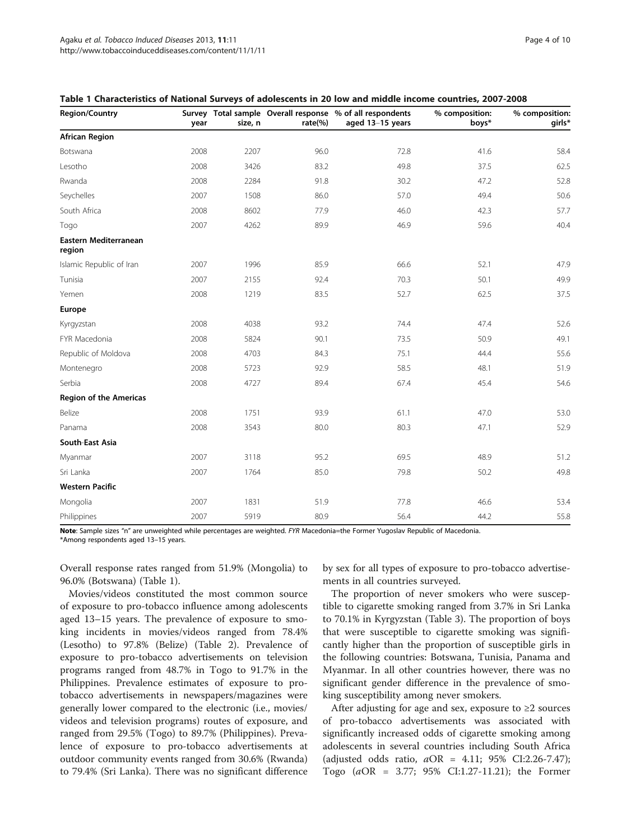| <b>Region/Country</b>           | year | size, n | rate $(\%)$ | Survey Total sample Overall response % of all respondents<br>aged 13-15 years | % composition:<br>boys* | % composition:<br>girls* |
|---------------------------------|------|---------|-------------|-------------------------------------------------------------------------------|-------------------------|--------------------------|
| <b>African Region</b>           |      |         |             |                                                                               |                         |                          |
| Botswana                        | 2008 | 2207    | 96.0        | 72.8                                                                          | 41.6                    | 58.4                     |
| Lesotho                         | 2008 | 3426    | 83.2        | 49.8                                                                          | 37.5                    | 62.5                     |
| Rwanda                          | 2008 | 2284    | 91.8        | 30.2                                                                          | 47.2                    | 52.8                     |
| Seychelles                      | 2007 | 1508    | 86.0        | 57.0                                                                          | 49.4                    | 50.6                     |
| South Africa                    | 2008 | 8602    | 77.9        | 46.0                                                                          | 42.3                    | 57.7                     |
| Togo                            | 2007 | 4262    | 89.9        | 46.9                                                                          | 59.6                    | 40.4                     |
| Eastern Mediterranean<br>region |      |         |             |                                                                               |                         |                          |
| Islamic Republic of Iran        | 2007 | 1996    | 85.9        | 66.6                                                                          | 52.1                    | 47.9                     |
| Tunisia                         | 2007 | 2155    | 92.4        | 70.3                                                                          | 50.1                    | 49.9                     |
| Yemen                           | 2008 | 1219    | 83.5        | 52.7                                                                          | 62.5                    | 37.5                     |
| Europe                          |      |         |             |                                                                               |                         |                          |
| Kyrgyzstan                      | 2008 | 4038    | 93.2        | 74.4                                                                          | 47.4                    | 52.6                     |
| FYR Macedonia                   | 2008 | 5824    | 90.1        | 73.5                                                                          | 50.9                    | 49.1                     |
| Republic of Moldova             | 2008 | 4703    | 84.3        | 75.1                                                                          | 44.4                    | 55.6                     |
| Montenegro                      | 2008 | 5723    | 92.9        | 58.5                                                                          | 48.1                    | 51.9                     |
| Serbia                          | 2008 | 4727    | 89.4        | 67.4                                                                          | 45.4                    | 54.6                     |
| <b>Region of the Americas</b>   |      |         |             |                                                                               |                         |                          |
| Belize                          | 2008 | 1751    | 93.9        | 61.1                                                                          | 47.0                    | 53.0                     |
| Panama                          | 2008 | 3543    | 80.0        | 80.3                                                                          | 47.1                    | 52.9                     |
| South-East Asia                 |      |         |             |                                                                               |                         |                          |
| Myanmar                         | 2007 | 3118    | 95.2        | 69.5                                                                          | 48.9                    | 51.2                     |
| Sri Lanka                       | 2007 | 1764    | 85.0        | 79.8                                                                          | 50.2                    | 49.8                     |
| <b>Western Pacific</b>          |      |         |             |                                                                               |                         |                          |
| Mongolia                        | 2007 | 1831    | 51.9        | 77.8                                                                          | 46.6                    | 53.4                     |
| Philippines                     | 2007 | 5919    | 80.9        | 56.4                                                                          | 44.2                    | 55.8                     |

| Table 1 Characteristics of National Surveys of adolescents in 20 low and middle income countries, 2007-2008 |  |  |
|-------------------------------------------------------------------------------------------------------------|--|--|
|-------------------------------------------------------------------------------------------------------------|--|--|

Note: Sample sizes "n" are unweighted while percentages are weighted. FYR Macedonia=the Former Yugoslav Republic of Macedonia. \*Among respondents aged 13–15 years.

Overall response rates ranged from 51.9% (Mongolia) to 96.0% (Botswana) (Table 1).

Movies/videos constituted the most common source of exposure to pro-tobacco influence among adolescents aged 13–15 years. The prevalence of exposure to smoking incidents in movies/videos ranged from 78.4% (Lesotho) to 97.8% (Belize) (Table [2\)](#page-4-0). Prevalence of exposure to pro-tobacco advertisements on television programs ranged from 48.7% in Togo to 91.7% in the Philippines. Prevalence estimates of exposure to protobacco advertisements in newspapers/magazines were generally lower compared to the electronic (i.e., movies/ videos and television programs) routes of exposure, and ranged from 29.5% (Togo) to 89.7% (Philippines). Prevalence of exposure to pro-tobacco advertisements at outdoor community events ranged from 30.6% (Rwanda) to 79.4% (Sri Lanka). There was no significant difference

by sex for all types of exposure to pro-tobacco advertisements in all countries surveyed.

The proportion of never smokers who were susceptible to cigarette smoking ranged from 3.7% in Sri Lanka to 70.1% in Kyrgyzstan (Table [3](#page-6-0)). The proportion of boys that were susceptible to cigarette smoking was significantly higher than the proportion of susceptible girls in the following countries: Botswana, Tunisia, Panama and Myanmar. In all other countries however, there was no significant gender difference in the prevalence of smoking susceptibility among never smokers.

After adjusting for age and sex, exposure to  $\geq 2$  sources of pro-tobacco advertisements was associated with significantly increased odds of cigarette smoking among adolescents in several countries including South Africa (adjusted odds ratio,  $aOR = 4.11$ ; 95% CI:2.26-7.47); Togo (aOR = 3.77; 95% CI:1.27-11.21); the Former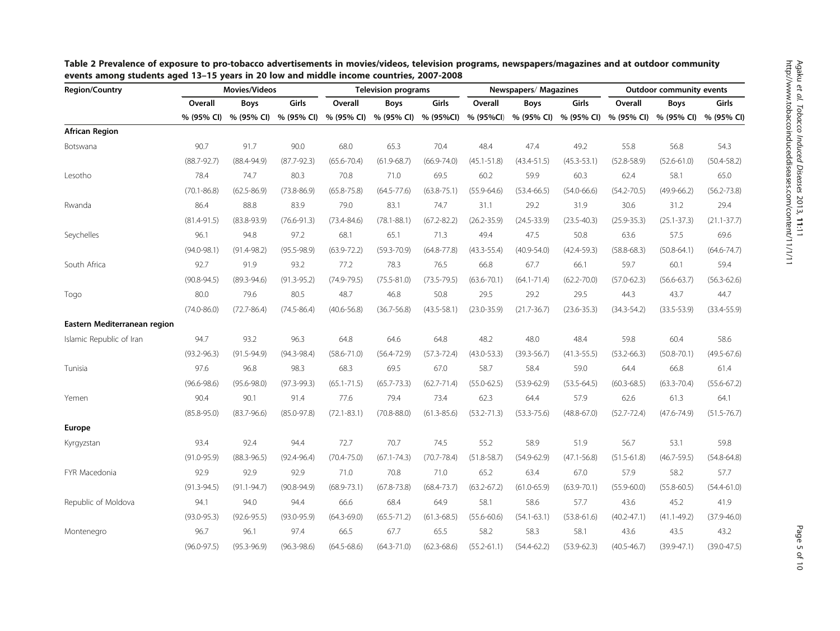| <b>Region/Country</b>        | Movies/Videos   |                 | <b>Television programs</b> |                 | Newspapers/Magazines |                 |                 | <b>Outdoor community events</b> |                 |                 |                 |                 |
|------------------------------|-----------------|-----------------|----------------------------|-----------------|----------------------|-----------------|-----------------|---------------------------------|-----------------|-----------------|-----------------|-----------------|
|                              | Overall         | <b>Boys</b>     | Girls                      | Overall         | Boys                 | Girls           | Overall         | Boys                            | Girls           | Overall         | <b>Boys</b>     | Girls           |
|                              | % (95% CI)      | % (95% CI)      | % (95% CI)                 | % (95% CI)      | % (95% CI)           | % (95%Cl)       | % (95%Cl)       | % (95% CI)                      | % (95% CI)      | % (95% CI)      | % (95% CI)      | % (95% CI)      |
| <b>African Region</b>        |                 |                 |                            |                 |                      |                 |                 |                                 |                 |                 |                 |                 |
| Botswana                     | 90.7            | 91.7            | 90.0                       | 68.0            | 65.3                 | 70.4            | 48.4            | 47.4                            | 49.2            | 55.8            | 56.8            | 54.3            |
|                              | $(88.7 - 92.7)$ | $(88.4 - 94.9)$ | $(87.7 - 92.3)$            | $(65.6 - 70.4)$ | $(61.9 - 68.7)$      | $(66.9 - 74.0)$ | $(45.1 - 51.8)$ | $(43.4 - 51.5)$                 | $(45.3 - 53.1)$ | $(52.8 - 58.9)$ | $(52.6 - 61.0)$ | $(50.4 - 58.2)$ |
| Lesotho                      | 78.4            | 74.7            | 80.3                       | 70.8            | 71.0                 | 69.5            | 60.2            | 59.9                            | 60.3            | 62.4            | 58.1            | 65.0            |
|                              | $(70.1 - 86.8)$ | $(62.5 - 86.9)$ | $(73.8 - 86.9)$            | $(65.8 - 75.8)$ | $(64.5 - 77.6)$      | $(63.8 - 75.1)$ | $(55.9 - 64.6)$ | $(53.4 - 66.5)$                 | $(54.0 - 66.6)$ | $(54.2 - 70.5)$ | $(49.9 - 66.2)$ | $(56.2 - 73.8)$ |
| Rwanda                       | 86.4            | 88.8            | 83.9                       | 79.0            | 83.1                 | 74.7            | 31.1            | 29.2                            | 31.9            | 30.6            | 31.2            | 29.4            |
|                              | $(81.4 - 91.5)$ | $(83.8 - 93.9)$ | $(76.6 - 91.3)$            | $(73.4 - 84.6)$ | $(78.1 - 88.1)$      | $(67.2 - 82.2)$ | $(26.2 - 35.9)$ | $(24.5 - 33.9)$                 | $(23.5 - 40.3)$ | $(25.9 - 35.3)$ | $(25.1 - 37.3)$ | $(21.1 - 37.7)$ |
| Seychelles                   | 96.1            | 94.8            | 97.2                       | 68.1            | 65.1                 | 71.3            | 49.4            | 47.5                            | 50.8            | 63.6            | 57.5            | 69.6            |
|                              | $(94.0 - 98.1)$ | $(91.4 - 98.2)$ | $(95.5 - 98.9)$            | $(63.9 - 72.2)$ | $(59.3 - 70.9)$      | $(64.8 - 77.8)$ | $(43.3 - 55.4)$ | $(40.9 - 54.0)$                 | $(42.4 - 59.3)$ | $(58.8 - 68.3)$ | $(50.8 - 64.1)$ | $(64.6 - 74.7)$ |
| South Africa                 | 92.7            | 91.9            | 93.2                       | 77.2            | 78.3                 | 76.5            | 66.8            | 67.7                            | 66.1            | 59.7            | 60.1            | 59.4            |
|                              | $(90.8 - 94.5)$ | $(89.3 - 94.6)$ | $(91.3 - 95.2)$            | $(74.9 - 79.5)$ | $(75.5 - 81.0)$      | $(73.5 - 79.5)$ | $(63.6 - 70.1)$ | $(64.1 - 71.4)$                 | $(62.2 - 70.0)$ | $(57.0 - 62.3)$ | $(56.6 - 63.7)$ | $(56.3 - 62.6)$ |
| Togo                         | 80.0            | 79.6            | 80.5                       | 48.7            | 46.8                 | 50.8            | 29.5            | 29.2                            | 29.5            | 44.3            | 43.7            | 44.7            |
|                              | $(74.0 - 86.0)$ | $(72.7 - 86.4)$ | $(74.5 - 86.4)$            | $(40.6 - 56.8)$ | $(36.7 - 56.8)$      | $(43.5 - 58.1)$ | $(23.0 - 35.9)$ | $(21.7 - 36.7)$                 | $(23.6 - 35.3)$ | $(34.3 - 54.2)$ | $(33.5 - 53.9)$ | $(33.4 - 55.9)$ |
| Eastern Mediterranean region |                 |                 |                            |                 |                      |                 |                 |                                 |                 |                 |                 |                 |
| Islamic Republic of Iran     | 94.7            | 93.2            | 96.3                       | 64.8            | 64.6                 | 64.8            | 48.2            | 48.0                            | 48.4            | 59.8            | 60.4            | 58.6            |
|                              | $(93.2 - 96.3)$ | $(91.5 - 94.9)$ | $(94.3 - 98.4)$            | $(58.6 - 71.0)$ | $(56.4 - 72.9)$      | $(57.3 - 72.4)$ | $(43.0 - 53.3)$ | $(39.3 - 56.7)$                 | $(41.3 - 55.5)$ | $(53.2 - 66.3)$ | $(50.8 - 70.1)$ | $(49.5 - 67.6)$ |
| Tunisia                      | 97.6            | 96.8            | 98.3                       | 68.3            | 69.5                 | 67.0            | 58.7            | 58.4                            | 59.0            | 64.4            | 66.8            | 61.4            |
|                              | $(96.6 - 98.6)$ | $(95.6 - 98.0)$ | $(97.3 - 99.3)$            | $(65.1 - 71.5)$ | $(65.7 - 73.3)$      | $(62.7 - 71.4)$ | $(55.0 - 62.5)$ | $(53.9 - 62.9)$                 | $(53.5 - 64.5)$ | $(60.3 - 68.5)$ | $(63.3 - 70.4)$ | $(55.6 - 67.2)$ |
| Yemen                        | 90.4            | 90.1            | 91.4                       | 77.6            | 79.4                 | 73.4            | 62.3            | 64.4                            | 57.9            | 62.6            | 61.3            | 64.1            |
|                              | $(85.8 - 95.0)$ | $(83.7 - 96.6)$ | $(85.0 - 97.8)$            | $(72.1 - 83.1)$ | $(70.8 - 88.0)$      | $(61.3 - 85.6)$ | $(53.2 - 71.3)$ | $(53.3 - 75.6)$                 | $(48.8 - 67.0)$ | $(52.7 - 72.4)$ | $(47.6 - 74.9)$ | $(51.5 - 76.7)$ |
| Europe                       |                 |                 |                            |                 |                      |                 |                 |                                 |                 |                 |                 |                 |
| Kyrgyzstan                   | 93.4            | 92.4            | 94.4                       | 72.7            | 70.7                 | 74.5            | 55.2            | 58.9                            | 51.9            | 56.7            | 53.1            | 59.8            |
|                              | $(91.0 - 95.9)$ | $(88.3 - 96.5)$ | $(92.4 - 96.4)$            | $(70.4 - 75.0)$ | $(67.1 - 74.3)$      | $(70.7 - 78.4)$ | $(51.8 - 58.7)$ | $(54.9 - 62.9)$                 | $(47.1 - 56.8)$ | $(51.5 - 61.8)$ | $(46.7 - 59.5)$ | $(54.8 - 64.8)$ |
| FYR Macedonia                | 92.9            | 92.9            | 92.9                       | 71.0            | 70.8                 | 71.0            | 65.2            | 63.4                            | 67.0            | 57.9            | 58.2            | 57.7            |
|                              | $(91.3 - 94.5)$ | $(91.1 - 94.7)$ | $(90.8 - 94.9)$            | $(68.9 - 73.1)$ | $(67.8 - 73.8)$      | $(68.4 - 73.7)$ | $(63.2 - 67.2)$ | $(61.0 - 65.9)$                 | $(63.9 - 70.1)$ | $(55.9 - 60.0)$ | $(55.8 - 60.5)$ | $(54.4 - 61.0)$ |
| Republic of Moldova          | 94.1            | 94.0            | 94.4                       | 66.6            | 68.4                 | 64.9            | 58.1            | 58.6                            | 57.7            | 43.6            | 45.2            | 41.9            |
|                              | $(93.0 - 95.3)$ | $(92.6 - 95.5)$ | $(93.0 - 95.9)$            | $(64.3 - 69.0)$ | $(65.5 - 71.2)$      | $(61.3 - 68.5)$ | $(55.6 - 60.6)$ | $(54.1 - 63.1)$                 | $(53.8 - 61.6)$ | $(40.2 - 47.1)$ | $(41.1 - 49.2)$ | $(37.9 - 46.0)$ |
| Montenegro                   | 96.7            | 96.1            | 97.4                       | 66.5            | 67.7                 | 65.5            | 58.2            | 58.3                            | 58.1            | 43.6            | 43.5            | 43.2            |
|                              | $(96.0 - 97.5)$ | $(95.3 - 96.9)$ | $(96.3 - 98.6)$            | $(64.5 - 68.6)$ | $(64.3 - 71.0)$      | $(62.3 - 68.6)$ | $(55.2 - 61.1)$ | $(54.4 - 62.2)$                 | $(53.9 - 62.3)$ | $(40.5 - 46.7)$ | $(39.9 - 47.1)$ | $(39.0 - 47.5)$ |

<span id="page-4-0"></span>Table 2 Prevalence of exposure to pro-tobacco advertisements in movies/videos, television programs, newspapers/magazines and at outdoor community events among students aged 13–15 years in 20 low and middle income countries, 2007-2008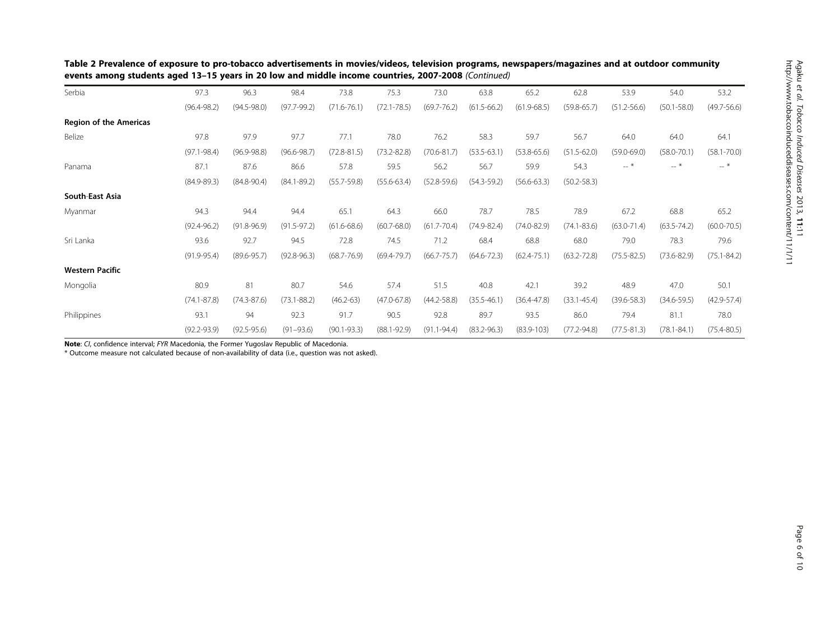| Serbia                        | 97.3            | 96.3            | 98.4            | 73.8            | 75.3            | 73.0            | 63.8            | 65.2            | 62.8            | 53.9            | 54.0            | 53.2            |
|-------------------------------|-----------------|-----------------|-----------------|-----------------|-----------------|-----------------|-----------------|-----------------|-----------------|-----------------|-----------------|-----------------|
|                               | $(96.4 - 98.2)$ | $(94.5 - 98.0)$ | $(97.7 - 99.2)$ | $(71.6 - 76.1)$ | $(72.1 - 78.5)$ | $(69.7 - 76.2)$ | $(61.5 - 66.2)$ | $(61.9 - 68.5)$ | $(59.8 - 65.7)$ | $(51.2 - 56.6)$ | $(50.1 - 58.0)$ | $(49.7 - 56.6)$ |
| <b>Region of the Americas</b> |                 |                 |                 |                 |                 |                 |                 |                 |                 |                 |                 |                 |
| Belize                        | 97.8            | 97.9            | 97.7            | 77.1            | 78.0            | 76.2            | 58.3            | 59.7            | 56.7            | 64.0            | 64.0            | 64.1            |
|                               | $(97.1 - 98.4)$ | $(96.9 - 98.8)$ | $(96.6 - 98.7)$ | $(72.8 - 81.5)$ | $(73.2 - 82.8)$ | $(70.6 - 81.7)$ | $(53.5 - 63.1)$ | $(53.8 - 65.6)$ | $(51.5 - 62.0)$ | $(59.0 - 69.0)$ | $(58.0 - 70.1)$ | $(58.1 - 70.0)$ |
| Panama                        | 87.1            | 87.6            | 86.6            | 57.8            | 59.5            | 56.2            | 56.7            | 59.9            | 54.3            | $-$ *           | $-$ *           | $--$ *          |
|                               | $(84.9 - 89.3)$ | $(84.8 - 90.4)$ | $(84.1 - 89.2)$ | $(55.7 - 59.8)$ | $(55.6 - 63.4)$ | $(52.8 - 59.6)$ | $(54.3 - 59.2)$ | $(56.6 - 63.3)$ | $(50.2 - 58.3)$ |                 |                 |                 |
| South-East Asia               |                 |                 |                 |                 |                 |                 |                 |                 |                 |                 |                 |                 |
| Myanmar                       | 94.3            | 94.4            | 94.4            | 65.1            | 64.3            | 66.0            | 78.7            | 78.5            | 78.9            | 67.2            | 68.8            | 65.2            |
|                               | $(92.4 - 96.2)$ | $(91.8 - 96.9)$ | $(91.5 - 97.2)$ | $(61.6 - 68.6)$ | $(60.7 - 68.0)$ | $(61.7 - 70.4)$ | $(74.9 - 82.4)$ | $(74.0 - 82.9)$ | $(74.1 - 83.6)$ | $(63.0 - 71.4)$ | $(63.5 - 74.2)$ | $(60.0 - 70.5)$ |
| Sri Lanka                     | 93.6            | 92.7            | 94.5            | 72.8            | 74.5            | 71.2            | 68.4            | 68.8            | 68.0            | 79.0            | 78.3            | 79.6            |
|                               | $(91.9 - 95.4)$ | $(89.6 - 95.7)$ | $(92.8 - 96.3)$ | $(68.7 - 76.9)$ | $(69.4 - 79.7)$ | $(66.7 - 75.7)$ | $(64.6 - 72.3)$ | $(62.4 - 75.1)$ | $(63.2 - 72.8)$ | $(75.5 - 82.5)$ | $(73.6 - 82.9)$ | $(75.1 - 84.2)$ |
| <b>Western Pacific</b>        |                 |                 |                 |                 |                 |                 |                 |                 |                 |                 |                 |                 |
| Mongolia                      | 80.9            | 81              | 80.7            | 54.6            | 57.4            | 51.5            | 40.8            | 42.1            | 39.2            | 48.9            | 47.0            | 50.1            |
|                               | $(74.1 - 87.8)$ | $(74.3 - 87.6)$ | $(73.1 - 88.2)$ | $(46.2 - 63)$   | $(47.0 - 67.8)$ | $(44.2 - 58.8)$ | $(35.5 - 46.1)$ | $(36.4 - 47.8)$ | $(33.1 - 45.4)$ | $(39.6 - 58.3)$ | $(34.6 - 59.5)$ | $(42.9 - 57.4)$ |
| Philippines                   | 93.1            | 94              | 92.3            | 91.7            | 90.5            | 92.8            | 89.7            | 93.5            | 86.0            | 79.4            | 81.1            | 78.0            |
|                               | $(92.2 - 93.9)$ | $(92.5 - 95.6)$ | $(91 - 93.6)$   | $(90.1 - 93.3)$ | $(88.1 - 92.9)$ | $(91.1 - 94.4)$ | $(83.2 - 96.3)$ | $(83.9 - 103)$  | $(77.2 - 94.8)$ | $(77.5 - 81.3)$ | $(78.1 - 84.1)$ | $(75.4 - 80.5)$ |

Table 2 Prevalence of exposure to pro-tobacco advertisements in movies/videos, television programs, newspapers/magazines and at outdoor community events among students aged 13–15 years in 20 low and middle income countries, 2007-2008 (Continued)

Note: CI, confidence interval; FYR Macedonia, the Former Yugoslav Republic of Macedonia.

\* Outcome measure not calculated because of non-availability of data (i.e., question was not asked).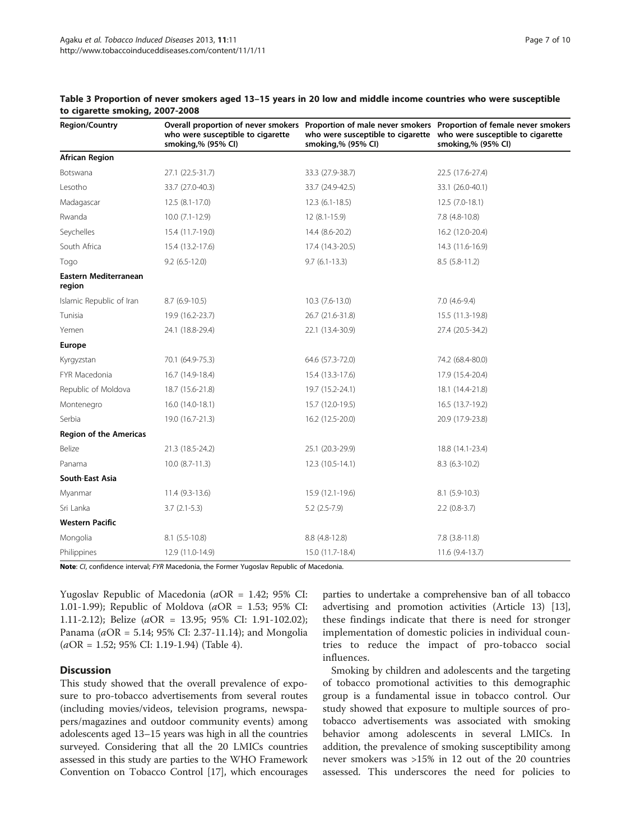| <b>Region/Country</b>                  | who were susceptible to cigarette<br>smoking,% (95% CI) | smoking,% (95% CI) | Overall proportion of never smokers Proportion of male never smokers Proportion of female never smokers<br>who were susceptible to cigarette who were susceptible to cigarette<br>smoking,% (95% CI) |
|----------------------------------------|---------------------------------------------------------|--------------------|------------------------------------------------------------------------------------------------------------------------------------------------------------------------------------------------------|
| <b>African Region</b>                  |                                                         |                    |                                                                                                                                                                                                      |
| Botswana                               | 27.1 (22.5-31.7)                                        | 33.3 (27.9-38.7)   | 22.5 (17.6-27.4)                                                                                                                                                                                     |
| Lesotho                                | 33.7 (27.0-40.3)                                        | 33.7 (24.9-42.5)   | 33.1 (26.0-40.1)                                                                                                                                                                                     |
| Madagascar                             | $12.5(8.1-17.0)$                                        | $12.3(6.1-18.5)$   | $12.5(7.0-18.1)$                                                                                                                                                                                     |
| Rwanda                                 | $10.0(7.1-12.9)$                                        | $12(8.1-15.9)$     | 7.8 (4.8-10.8)                                                                                                                                                                                       |
| Seychelles                             | 15.4 (11.7-19.0)                                        | 14.4 (8.6-20.2)    | 16.2 (12.0-20.4)                                                                                                                                                                                     |
| South Africa                           | 15.4 (13.2-17.6)                                        | 17.4 (14.3-20.5)   | 14.3 (11.6-16.9)                                                                                                                                                                                     |
| Togo                                   | $9.2$ (6.5-12.0)                                        | $9.7(6.1-13.3)$    | $8.5(5.8-11.2)$                                                                                                                                                                                      |
| <b>Eastern Mediterranean</b><br>region |                                                         |                    |                                                                                                                                                                                                      |
| Islamic Republic of Iran               | $8.7(6.9-10.5)$                                         | $10.3(7.6-13.0)$   | $7.0(4.6-9.4)$                                                                                                                                                                                       |
| Tunisia                                | 19.9 (16.2-23.7)                                        | 26.7 (21.6-31.8)   | 15.5 (11.3-19.8)                                                                                                                                                                                     |
| Yemen                                  | 24.1 (18.8-29.4)                                        | 22.1 (13.4-30.9)   | 27.4 (20.5-34.2)                                                                                                                                                                                     |
| Europe                                 |                                                         |                    |                                                                                                                                                                                                      |
| Kyrgyzstan                             | 70.1 (64.9-75.3)                                        | 64.6 (57.3-72.0)   | 74.2 (68.4-80.0)                                                                                                                                                                                     |
| FYR Macedonia                          | 16.7 (14.9-18.4)                                        | 15.4 (13.3-17.6)   | 17.9 (15.4-20.4)                                                                                                                                                                                     |
| Republic of Moldova                    | 18.7 (15.6-21.8)                                        | 19.7 (15.2-24.1)   | 18.1 (14.4-21.8)                                                                                                                                                                                     |
| Montenegro                             | 16.0 (14.0-18.1)                                        | 15.7 (12.0-19.5)   | 16.5 (13.7-19.2)                                                                                                                                                                                     |
| Serbia                                 | 19.0 (16.7-21.3)                                        | 16.2 (12.5-20.0)   | 20.9 (17.9-23.8)                                                                                                                                                                                     |
| <b>Region of the Americas</b>          |                                                         |                    |                                                                                                                                                                                                      |
| Belize                                 | 21.3 (18.5-24.2)                                        | 25.1 (20.3-29.9)   | 18.8 (14.1-23.4)                                                                                                                                                                                     |
| Panama                                 | $10.0 (8.7 - 11.3)$                                     | 12.3 (10.5-14.1)   | $8.3(6.3-10.2)$                                                                                                                                                                                      |
| <b>South-East Asia</b>                 |                                                         |                    |                                                                                                                                                                                                      |
| Myanmar                                | $11.4(9.3-13.6)$                                        | 15.9 (12.1-19.6)   | $8.1(5.9-10.3)$                                                                                                                                                                                      |
| Sri Lanka                              | $3.7(2.1-5.3)$                                          | $5.2$ (2.5-7.9)    | $2.2$ (0.8-3.7)                                                                                                                                                                                      |
| <b>Western Pacific</b>                 |                                                         |                    |                                                                                                                                                                                                      |
| Mongolia                               | $8.1(5.5-10.8)$                                         | $8.8(4.8-12.8)$    | $7.8$ $(3.8-11.8)$                                                                                                                                                                                   |
| Philippines                            | 12.9 (11.0-14.9)                                        | 15.0 (11.7-18.4)   | 11.6 (9.4-13.7)                                                                                                                                                                                      |

<span id="page-6-0"></span>Table 3 Proportion of never smokers aged 13–15 years in 20 low and middle income countries who were susceptible to cigarette smoking, 2007-2008

Note: CI, confidence interval; FYR Macedonia, the Former Yugoslav Republic of Macedonia.

Yugoslav Republic of Macedonia (aOR = 1.42; 95% CI: 1.01-1.99); Republic of Moldova ( $aOR = 1.53$ ; 95% CI: 1.11-2.12); Belize (aOR = 13.95; 95% CI: 1.91-102.02); Panama ( $aOR = 5.14$ ; 95% CI: 2.37-11.14); and Mongolia  $(aOR = 1.52; 95\% CI: 1.19-1.94)$  (Table [4\)](#page-7-0).

#### **Discussion**

This study showed that the overall prevalence of exposure to pro-tobacco advertisements from several routes (including movies/videos, television programs, newspapers/magazines and outdoor community events) among adolescents aged 13–15 years was high in all the countries surveyed. Considering that all the 20 LMICs countries assessed in this study are parties to the WHO Framework Convention on Tobacco Control [[17](#page-9-0)], which encourages

parties to undertake a comprehensive ban of all tobacco advertising and promotion activities (Article 13) [[13](#page-8-0)], these findings indicate that there is need for stronger implementation of domestic policies in individual countries to reduce the impact of pro-tobacco social influences.

Smoking by children and adolescents and the targeting of tobacco promotional activities to this demographic group is a fundamental issue in tobacco control. Our study showed that exposure to multiple sources of protobacco advertisements was associated with smoking behavior among adolescents in several LMICs. In addition, the prevalence of smoking susceptibility among never smokers was >15% in 12 out of the 20 countries assessed. This underscores the need for policies to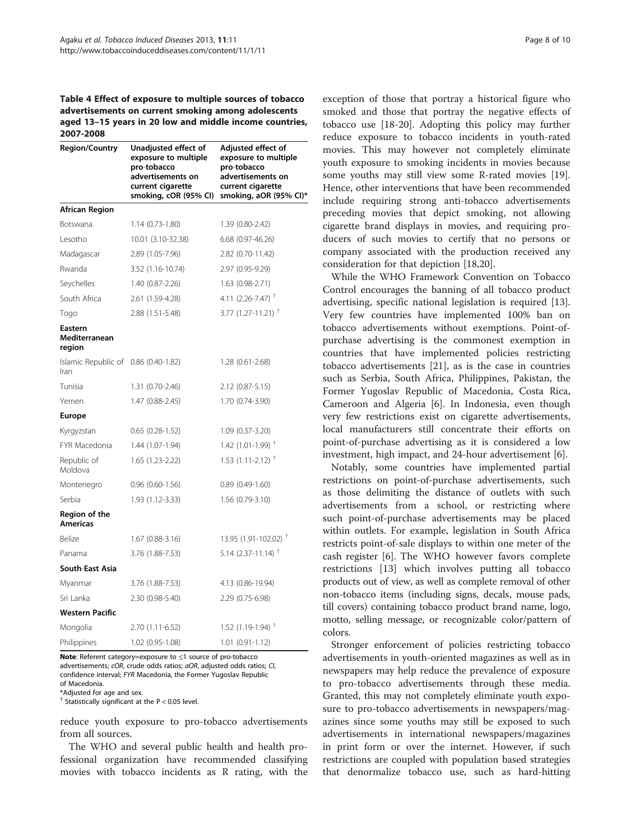<span id="page-7-0"></span>Table 4 Effect of exposure to multiple sources of tobacco advertisements on current smoking among adolescents aged 13–15 years in 20 low and middle income countries, 2007-2008

| <b>Region/Country</b>                        | Unadjusted effect of<br>exposure to multiple<br>pro-tobacco<br>advertisements on<br>current cigarette<br>smoking, cOR (95% CI) | Adjusted effect of<br>exposure to multiple<br>pro-tobacco<br>advertisements on<br>current cigarette<br>smoking, aOR (95% CI)* |
|----------------------------------------------|--------------------------------------------------------------------------------------------------------------------------------|-------------------------------------------------------------------------------------------------------------------------------|
| <b>African Region</b>                        |                                                                                                                                |                                                                                                                               |
| Botswana                                     | $1.14(0.73-1.80)$                                                                                                              | 1.39 (0.80-2.42)                                                                                                              |
| Lesotho                                      | 10.01 (3.10-32.38)                                                                                                             | $6.68$ $(0.97 - 46.26)$                                                                                                       |
| Madagascar                                   | 2.89 (1.05-7.96)                                                                                                               | 2.82 (0.70-11.42)                                                                                                             |
| Rwanda                                       | 3.52 (1.16-10.74)                                                                                                              | 2.97 (0.95-9.29)                                                                                                              |
| Seychelles                                   | $1.40(0.87 - 2.26)$                                                                                                            | 1.63 (0.98-2.71)                                                                                                              |
| South Africa                                 | 2.61 (1.59-4.28)                                                                                                               | 4.11 (2.26-7.47) $^{\dagger}$                                                                                                 |
| Togo                                         | 2.88 (1.51-5.48)                                                                                                               | 3.77 $(1.27 - 11.21)$ <sup>T</sup>                                                                                            |
| Eastern<br>Mediterranean<br>region           |                                                                                                                                |                                                                                                                               |
| Islamic Republic of 0.86 (0.40-1.82)<br>Iran |                                                                                                                                | 1.28 (0.61-2.68)                                                                                                              |
| Tunisia                                      | 1.31 (0.70-2.46)                                                                                                               | 2.12 (0.87-5.15)                                                                                                              |
| Yemen                                        | 1.47 (0.88-2.45)                                                                                                               | 1.70 (0.74-3.90)                                                                                                              |
| Europe                                       |                                                                                                                                |                                                                                                                               |
| Kyrgyzstan                                   | $0.65$ $(0.28-1.52)$                                                                                                           | 1.09 (0.37-3.20)                                                                                                              |
| FYR Macedonia                                | 1.44 (1.07-1.94)                                                                                                               | $1.42$ (1.01-1.99) <sup>+</sup>                                                                                               |
| Republic of<br>Moldova                       | 1.65 (1.23-2.22)                                                                                                               | $1.53$ (1.11-2.12) <sup>†</sup>                                                                                               |
| Montenegro                                   | $0.96$ $(0.60-1.56)$                                                                                                           | $0.89$ $(0.49-1.60)$                                                                                                          |
| Serbia                                       | 1.93 (1.12-3.33)                                                                                                               | 1.56 (0.79-3.10)                                                                                                              |
| Region of the<br><b>Americas</b>             |                                                                                                                                |                                                                                                                               |
| Belize                                       | $1.67(0.88-3.16)$                                                                                                              | 13.95 (1.91-102.02) <sup>†</sup>                                                                                              |
| Panama                                       | 3.76 (1.88-7.53)                                                                                                               | 5.14 $(2.37-11.14)$ <sup>T</sup>                                                                                              |
| South-East Asia                              |                                                                                                                                |                                                                                                                               |
| Myanmar                                      | 3.76 (1.88-7.53)                                                                                                               | 4.13 (0.86-19.94)                                                                                                             |
| Sri Lanka                                    | 2.30 (0.98-5.40)                                                                                                               | 2.29 (0.75-6.98)                                                                                                              |
| <b>Western Pacific</b>                       |                                                                                                                                |                                                                                                                               |
| Mongolia                                     | 2.70 (1.11-6.52)                                                                                                               | $1.52$ (1.19-1.94) <sup>+</sup>                                                                                               |
| Philippines                                  | 1.02 (0.95-1.08)                                                                                                               | 1.01 (0.91-1.12)                                                                                                              |

Note: Referent category=exposure to ≤1 source of pro-tobacco advertisements; cOR, crude odds ratios; aOR, adjusted odds ratios; CI, confidence interval; FYR Macedonia, the Former Yugoslav Republic

of Macedonia.

\*Adjusted for age and sex.

 $<sup>†</sup>$  Statistically significant at the P < 0.05 level.</sup>

reduce youth exposure to pro-tobacco advertisements from all sources.

The WHO and several public health and health professional organization have recommended classifying movies with tobacco incidents as R rating, with the

exception of those that portray a historical figure who smoked and those that portray the negative effects of tobacco use [[18-20](#page-9-0)]. Adopting this policy may further reduce exposure to tobacco incidents in youth-rated movies. This may however not completely eliminate youth exposure to smoking incidents in movies because some youths may still view some R-rated movies [\[19](#page-9-0)]. Hence, other interventions that have been recommended include requiring strong anti-tobacco advertisements preceding movies that depict smoking, not allowing cigarette brand displays in movies, and requiring producers of such movies to certify that no persons or company associated with the production received any consideration for that depiction [[18](#page-9-0),[20](#page-9-0)].

While the WHO Framework Convention on Tobacco Control encourages the banning of all tobacco product advertising, specific national legislation is required [\[13](#page-8-0)]. Very few countries have implemented 100% ban on tobacco advertisements without exemptions. Point-ofpurchase advertising is the commonest exemption in countries that have implemented policies restricting tobacco advertisements [[21\]](#page-9-0), as is the case in countries such as Serbia, South Africa, Philippines, Pakistan, the Former Yugoslav Republic of Macedonia, Costa Rica, Cameroon and Algeria [\[6\]](#page-8-0). In Indonesia, even though very few restrictions exist on cigarette advertisements, local manufacturers still concentrate their efforts on point-of-purchase advertising as it is considered a low investment, high impact, and 24-hour advertisement [[6\]](#page-8-0).

Notably, some countries have implemented partial restrictions on point-of-purchase advertisements, such as those delimiting the distance of outlets with such advertisements from a school, or restricting where such point-of-purchase advertisements may be placed within outlets. For example, legislation in South Africa restricts point-of-sale displays to within one meter of the cash register [[6\]](#page-8-0). The WHO however favors complete restrictions [\[13](#page-8-0)] which involves putting all tobacco products out of view, as well as complete removal of other non-tobacco items (including signs, decals, mouse pads, till covers) containing tobacco product brand name, logo, motto, selling message, or recognizable color/pattern of colors.

Stronger enforcement of policies restricting tobacco advertisements in youth-oriented magazines as well as in newspapers may help reduce the prevalence of exposure to pro-tobacco advertisements through these media. Granted, this may not completely eliminate youth exposure to pro-tobacco advertisements in newspapers/magazines since some youths may still be exposed to such advertisements in international newspapers/magazines in print form or over the internet. However, if such restrictions are coupled with population based strategies that denormalize tobacco use, such as hard-hitting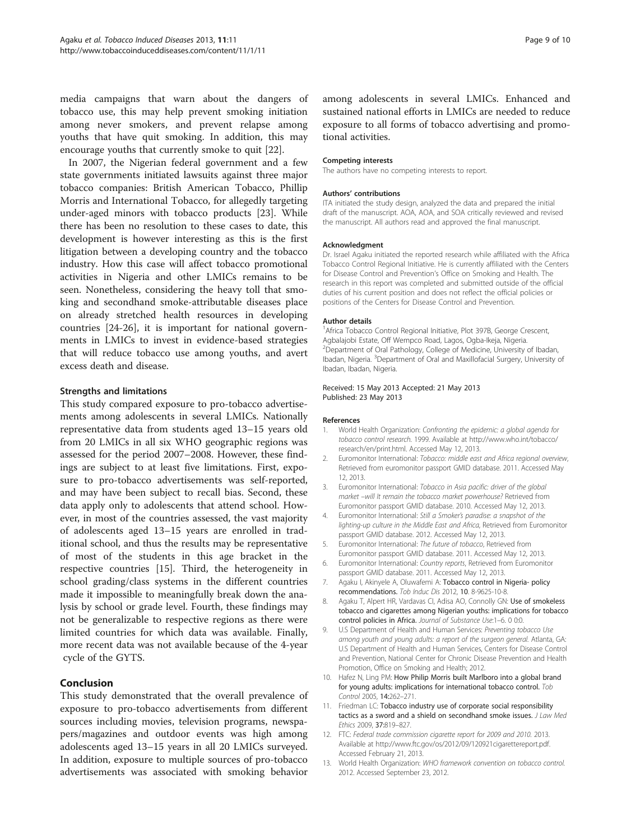<span id="page-8-0"></span>media campaigns that warn about the dangers of tobacco use, this may help prevent smoking initiation among never smokers, and prevent relapse among youths that have quit smoking. In addition, this may encourage youths that currently smoke to quit [\[22](#page-9-0)].

In 2007, the Nigerian federal government and a few state governments initiated lawsuits against three major tobacco companies: British American Tobacco, Phillip Morris and International Tobacco, for allegedly targeting under-aged minors with tobacco products [[23](#page-9-0)]. While there has been no resolution to these cases to date, this development is however interesting as this is the first litigation between a developing country and the tobacco industry. How this case will affect tobacco promotional activities in Nigeria and other LMICs remains to be seen. Nonetheless, considering the heavy toll that smoking and secondhand smoke-attributable diseases place on already stretched health resources in developing countries [[24-26\]](#page-9-0), it is important for national governments in LMICs to invest in evidence-based strategies that will reduce tobacco use among youths, and avert excess death and disease.

#### Strengths and limitations

This study compared exposure to pro-tobacco advertisements among adolescents in several LMICs. Nationally representative data from students aged 13–15 years old from 20 LMICs in all six WHO geographic regions was assessed for the period 2007–2008. However, these findings are subject to at least five limitations. First, exposure to pro-tobacco advertisements was self-reported, and may have been subject to recall bias. Second, these data apply only to adolescents that attend school. However, in most of the countries assessed, the vast majority of adolescents aged 13–15 years are enrolled in traditional school, and thus the results may be representative of most of the students in this age bracket in the respective countries [\[15](#page-9-0)]. Third, the heterogeneity in school grading/class systems in the different countries made it impossible to meaningfully break down the analysis by school or grade level. Fourth, these findings may not be generalizable to respective regions as there were limited countries for which data was available. Finally, more recent data was not available because of the 4-year cycle of the GYTS.

# Conclusion

This study demonstrated that the overall prevalence of exposure to pro-tobacco advertisements from different sources including movies, television programs, newspapers/magazines and outdoor events was high among adolescents aged 13–15 years in all 20 LMICs surveyed. In addition, exposure to multiple sources of pro-tobacco advertisements was associated with smoking behavior

among adolescents in several LMICs. Enhanced and sustained national efforts in LMICs are needed to reduce exposure to all forms of tobacco advertising and promotional activities.

#### Competing interests

The authors have no competing interests to report.

#### Authors' contributions

ITA initiated the study design, analyzed the data and prepared the initial draft of the manuscript. AOA, AOA, and SOA critically reviewed and revised the manuscript. All authors read and approved the final manuscript.

#### Acknowledgment

Dr. Israel Agaku initiated the reported research while affiliated with the Africa Tobacco Control Regional Initiative. He is currently affiliated with the Centers for Disease Control and Prevention's Office on Smoking and Health. The research in this report was completed and submitted outside of the official duties of his current position and does not reflect the official policies or positions of the Centers for Disease Control and Prevention.

#### Author details

<sup>1</sup> Africa Tobacco Control Regional Initiative, Plot 397B, George Crescent, Agbalajobi Estate, Off Wempco Road, Lagos, Ogba-Ikeja, Nigeria. <sup>2</sup>Department of Oral Pathology, College of Medicine, University of Ibadan, Ibadan, Nigeria. <sup>3</sup>Department of Oral and Maxillofacial Surgery, University of Ibadan, Ibadan, Nigeria.

#### Received: 15 May 2013 Accepted: 21 May 2013 Published: 23 May 2013

#### References

- 1. World Health Organization: Confronting the epidemic: a global agenda for tobacco control research. 1999. Available at [http://www.who.int/tobacco/](http://www.who.int/tobacco/research/en/print.html) [research/en/print.html](http://www.who.int/tobacco/research/en/print.html). Accessed May 12, 2013.
- 2. Euromonitor International: Tobacco: middle east and Africa regional overview, Retrieved from euromonitor passport GMID database. 2011. Accessed May 12, 2013.
- 3. Euromonitor International: Tobacco in Asia pacific: driver of the global market –will It remain the tobacco market powerhouse? Retrieved from Euromonitor passport GMID database. 2010. Accessed May 12, 2013.
- 4. Euromonitor International: Still a Smoker's paradise: a snapshot of the lighting-up culture in the Middle East and Africa, Retrieved from Euromonitor passport GMID database. 2012. Accessed May 12, 2013.
- 5. Euromonitor International: The future of tobacco, Retrieved from Euromonitor passport GMID database. 2011. Accessed May 12, 2013.
- 6. Euromonitor International: Country reports, Retrieved from Euromonitor passport GMID database. 2011. Accessed May 12, 2013.
- 7. Agaku I, Akinyele A, Oluwafemi A: Tobacco control in Nigeria- policy recommendations. Tob Induc Dis 2012, 10. 8-9625-10-8.
- 8. Agaku T, Alpert HR, Vardavas CI, Adisa AO, Connolly GN: Use of smokeless tobacco and cigarettes among Nigerian youths: implications for tobacco control policies in Africa. Journal of Substance Use:1–6. 0 0:0.
- 9. U.S Department of Health and Human Services: Preventing tobacco Use among youth and young adults: a report of the surgeon general. Atlanta, GA: U.S Department of Health and Human Services, Centers for Disease Control and Prevention, National Center for Chronic Disease Prevention and Health Promotion, Office on Smoking and Health; 2012.
- 10. Hafez N, Ling PM: How Philip Morris built Marlboro into a global brand for young adults: implications for international tobacco control. Tob Control 2005, 14:262–271.
- 11. Friedman LC: Tobacco industry use of corporate social responsibility tactics as a sword and a shield on secondhand smoke issues. J Law Med Ethics 2009, 37:819–827.
- 12. FTC: Federal trade commission cigarette report for 2009 and 2010. 2013. Available at [http://www.ftc.gov/os/2012/09/120921cigarettereport.pdf.](http://www.ftc.gov/os/2012/09/120921cigarettereport.pdf) Accessed February 21, 2013.
- 13. World Health Organization: WHO framework convention on tobacco control. 2012. Accessed September 23, 2012.